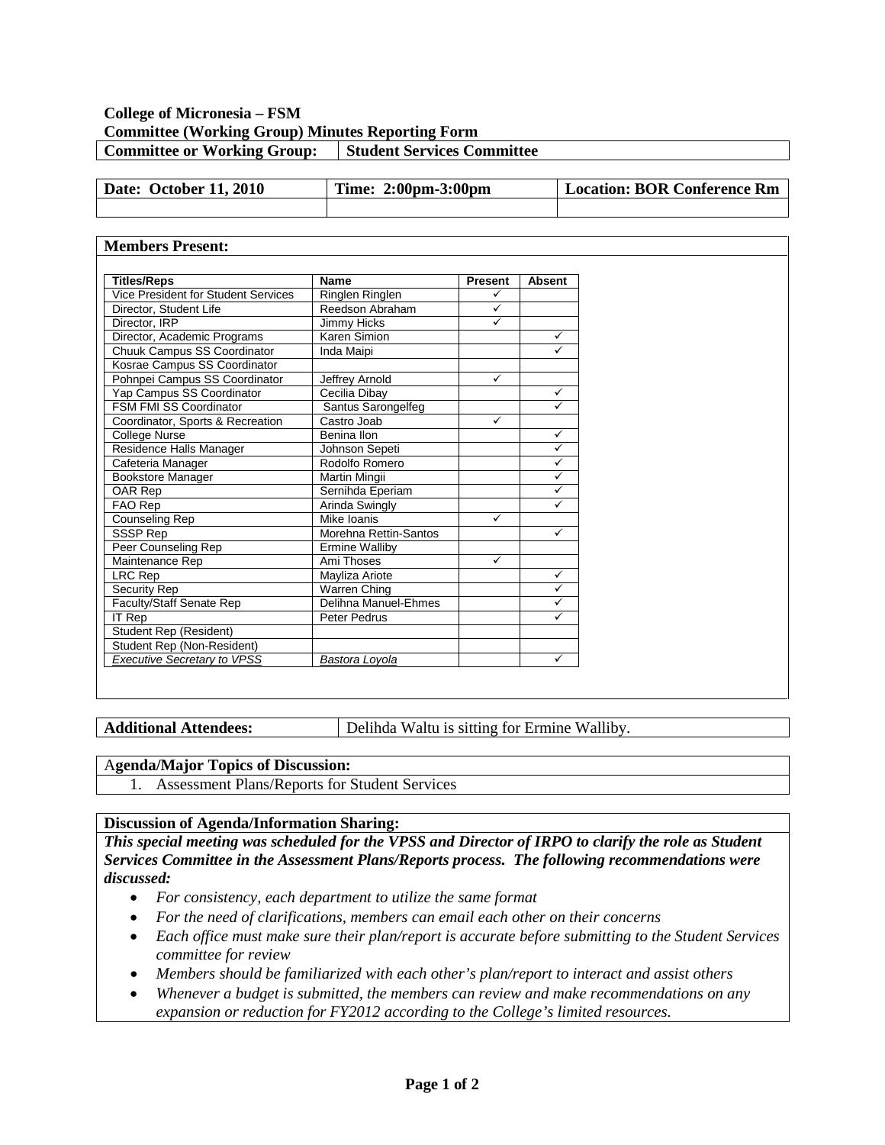## **College of Micronesia – FSM Committee (Working Group) Minutes Reporting Form Committee or Working Group:** Student Services Committee

| Date: October 11, 2010 | Time: 2:00pm-3:00pm | Location: BOR Conference Rm |
|------------------------|---------------------|-----------------------------|
|                        |                     |                             |

## **Members Present:**

| <b>Titles/Reps</b>                  | <b>Name</b>           | <b>Present</b> | <b>Absent</b> |  |
|-------------------------------------|-----------------------|----------------|---------------|--|
| Vice President for Student Services | Ringlen Ringlen       | ✓              |               |  |
| Director, Student Life              | Reedson Abraham       | ✓              |               |  |
| Director, IRP                       | Jimmy Hicks           | ✓              |               |  |
| Director, Academic Programs         | Karen Simion          |                | ✓             |  |
| Chuuk Campus SS Coordinator         | Inda Maipi            |                | $\checkmark$  |  |
| Kosrae Campus SS Coordinator        |                       |                |               |  |
| Pohnpei Campus SS Coordinator       | Jeffrey Arnold        | ✓              |               |  |
| Yap Campus SS Coordinator           | Cecilia Dibay         |                | $\checkmark$  |  |
| <b>FSM FMI SS Coordinator</b>       | Santus Sarongelfeg    |                | ✓             |  |
| Coordinator, Sports & Recreation    | Castro Joab           | ✓              |               |  |
| College Nurse                       | Benina Ilon           | $\checkmark$   |               |  |
| Residence Halls Manager             | Johnson Sepeti        | $\checkmark$   |               |  |
| Cafeteria Manager                   | Rodolfo Romero        | $\checkmark$   |               |  |
| Bookstore Manager                   | Martin Mingii         | $\checkmark$   |               |  |
| OAR Rep                             | Sernihda Eperiam      |                | $\checkmark$  |  |
| FAO Rep                             | Arinda Swingly        |                | $\checkmark$  |  |
| Counseling Rep                      | Mike Ioanis           | ✓              |               |  |
| SSSP Rep                            | Morehna Rettin-Santos |                | $\checkmark$  |  |
| Peer Counseling Rep                 | <b>Ermine Walliby</b> |                |               |  |
| Maintenance Rep                     | Ami Thoses            | ✓              |               |  |
| LRC Rep                             | Mayliza Ariote        |                | $\checkmark$  |  |
| Security Rep                        | Warren Ching          |                | ✓             |  |
| Faculty/Staff Senate Rep            | Delihna Manuel-Ehmes  |                | $\checkmark$  |  |
| <b>IT Rep</b>                       | Peter Pedrus          |                | ✓             |  |
| Student Rep (Resident)              |                       |                |               |  |
| Student Rep (Non-Resident)          |                       |                |               |  |
| <b>Executive Secretary to VPSS</b>  | Bastora Loyola        |                | $\checkmark$  |  |

**Additional Attendees:** Delihda Waltu is sitting for Ermine Walliby.

## A**genda/Major Topics of Discussion:**

1. Assessment Plans/Reports for Student Services

## **Discussion of Agenda/Information Sharing:**

*This special meeting was scheduled for the VPSS and Director of IRPO to clarify the role as Student Services Committee in the Assessment Plans/Reports process. The following recommendations were discussed:*

- *For consistency, each department to utilize the same format*
- *For the need of clarifications, members can email each other on their concerns*
- *Each office must make sure their plan/report is accurate before submitting to the Student Services committee for review*
- *Members should be familiarized with each other's plan/report to interact and assist others*
- *Whenever a budget is submitted, the members can review and make recommendations on any expansion or reduction for FY2012 according to the College's limited resources.*